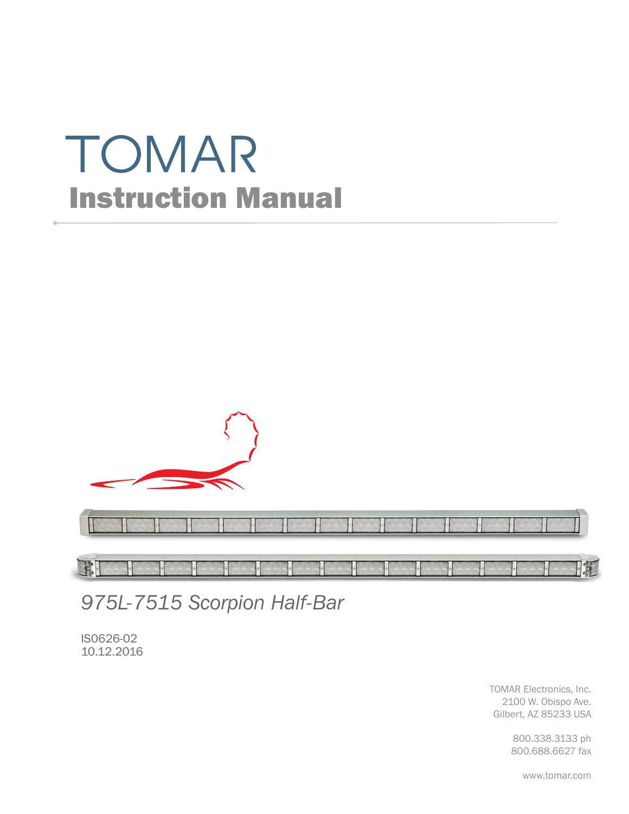# TOMAR Instruction Manual



FFE

*975L-7515 Scorpion Half-Bar*

IS0626-02 10.12.2016

> TOMAR Electronics, Inc. 2100 W. Obispo Ave. Gilbert, AZ 85233 USA

> > 800.338.3133 ph 800.688.6627 fax

> > > www.tomar.com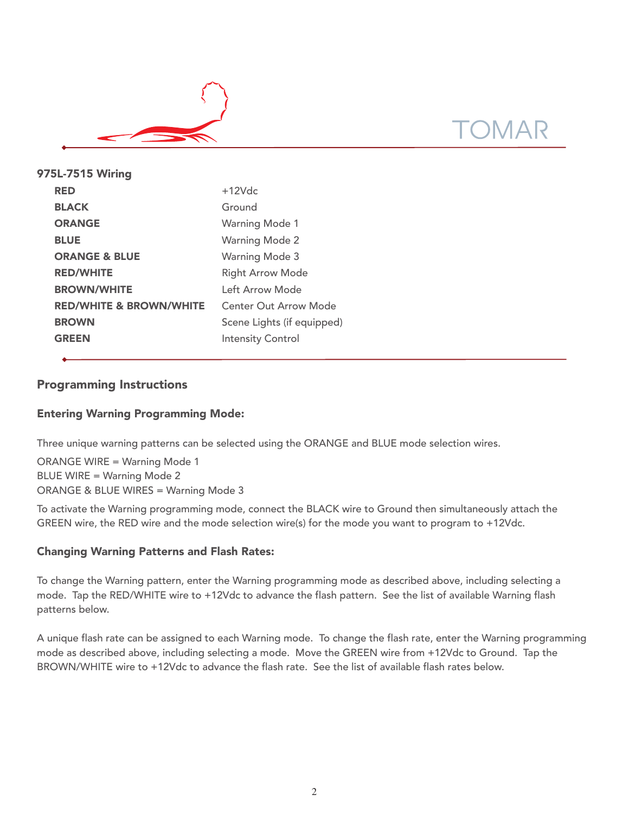

| 975L-7515 Wiring                   |                            |
|------------------------------------|----------------------------|
| <b>RED</b>                         | $+12Vdc$                   |
| <b>BLACK</b>                       | Ground                     |
| <b>ORANGE</b>                      | <b>Warning Mode 1</b>      |
| <b>BLUE</b>                        | <b>Warning Mode 2</b>      |
| <b>ORANGE &amp; BLUE</b>           | <b>Warning Mode 3</b>      |
| <b>RED/WHITE</b>                   | <b>Right Arrow Mode</b>    |
| <b>BROWN/WHITE</b>                 | Left Arrow Mode            |
| <b>RED/WHITE &amp; BROWN/WHITE</b> | Center Out Arrow Mode      |
| <b>BROWN</b>                       | Scene Lights (if equipped) |
| <b>GREEN</b>                       | <b>Intensity Control</b>   |
|                                    |                            |

# Programming Instructions

# Entering Warning Programming Mode:

Three unique warning patterns can be selected using the ORANGE and BLUE mode selection wires.

ORANGE WIRE = Warning Mode 1 BLUE WIRE = Warning Mode 2 ORANGE & BLUE WIRES = Warning Mode 3

To activate the Warning programming mode, connect the BLACK wire to Ground then simultaneously attach the GREEN wire, the RED wire and the mode selection wire(s) for the mode you want to program to +12Vdc.

# Changing Warning Patterns and Flash Rates:

To change the Warning pattern, enter the Warning programming mode as described above, including selecting a mode. Tap the RED/WHITE wire to +12Vdc to advance the flash pattern. See the list of available Warning flash patterns below.

A unique flash rate can be assigned to each Warning mode. To change the flash rate, enter the Warning programming mode as described above, including selecting a mode. Move the GREEN wire from +12Vdc to Ground. Tap the BROWN/WHITE wire to +12Vdc to advance the flash rate. See the list of available flash rates below.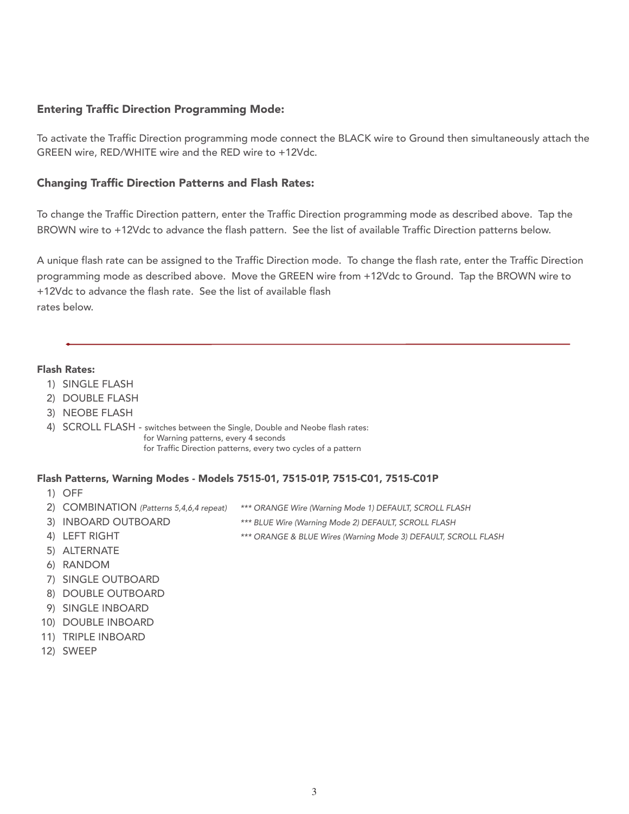# Entering Traffic Direction Programming Mode:

To activate the Traffic Direction programming mode connect the BLACK wire to Ground then simultaneously attach the GREEN wire, RED/WHITE wire and the RED wire to +12Vdc.

# Changing Traffic Direction Patterns and Flash Rates:

To change the Traffic Direction pattern, enter the Traffic Direction programming mode as described above. Tap the BROWN wire to +12Vdc to advance the flash pattern. See the list of available Traffic Direction patterns below.

A unique flash rate can be assigned to the Traffic Direction mode. To change the flash rate, enter the Traffic Direction programming mode as described above. Move the GREEN wire from +12Vdc to Ground. Tap the BROWN wire to +12Vdc to advance the flash rate. See the list of available flash rates below.

#### Flash Rates:

- 1) SINGLE FLASH
- 2) DOUBLE FLASH
- 3) NEOBE FLASH
- 4) SCROLL FLASH switches between the Single, Double and Neobe flash rates: for Warning patterns, every 4 seconds for Traffic Direction patterns, every two cycles of a pattern

#### Flash Patterns, Warning Modes - Models 7515-01, 7515-01P, 7515-C01, 7515-C01P

- 1) OFF
- 
- 2) COMBINATION (Patterns 5,4,6,4 repeat) \*\*\* ORANGE Wire (Warning Mode 1) DEFAULT, SCROLL FLASH
- 3) INBOARD OUTBOARD \*\*\* BLUE Wire (Warning Mode 2) DEFAULT, SCROLL FLASH
- 
- 4) LEFT RIGHT \*\*\* ORANGE & BLUE Wires (Warning Mode 3) DEFAULT, SCROLL FLASH
- 5) ALTERNATE
- 6) RANDOM
- 7) SINGLE OUTBOARD
- 8) DOUBLE OUTBOARD
- 9) SINGLE INBOARD
- 10) DOUBLE INBOARD
- 11) TRIPLE INBOARD
- 12) SWEEP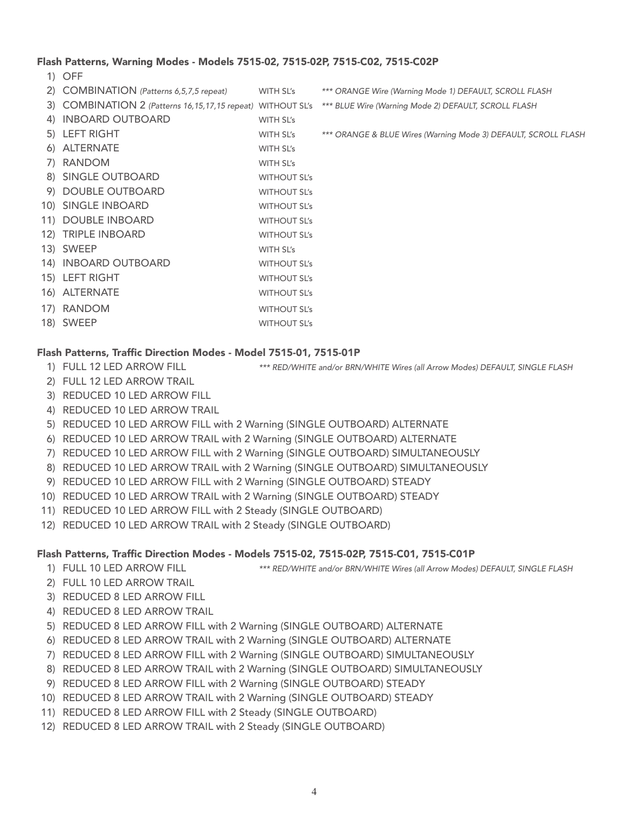## Flash Patterns, Warning Modes - Models 7515-02, 7515-02P, 7515-C02, 7515-C02P

1) OFF

| 2) COMBINATION (Patterns 6,5,7,5 repeat)                       | WITH SL's           | *** ORANGE Wire (Warning Mode 1) DEFAULT, SCROLL FLASH         |
|----------------------------------------------------------------|---------------------|----------------------------------------------------------------|
| 3) COMBINATION 2 (Patterns 16, 15, 17, 15 repeat) WITHOUT SL's |                     | *** BLUE Wire (Warning Mode 2) DEFAULT, SCROLL FLASH           |
| 4) INBOARD OUTBOARD                                            | WITH SL's           |                                                                |
| 5) LEFT RIGHT                                                  | WITH SL's           | *** ORANGE & BLUE Wires (Warning Mode 3) DEFAULT, SCROLL FLASH |
| 6) ALTERNATE                                                   | WITH SL's           |                                                                |
| 7) RANDOM                                                      | WITH SL's           |                                                                |
| 8) SINGLE OUTBOARD                                             | <b>WITHOUT SL's</b> |                                                                |
| 9) DOUBLE OUTBOARD                                             | <b>WITHOUT SL's</b> |                                                                |
| 10) SINGLE INBOARD                                             | <b>WITHOUT SL's</b> |                                                                |
| 11) DOUBLE INBOARD                                             | <b>WITHOUT SL's</b> |                                                                |
| 12) TRIPLE INBOARD                                             | <b>WITHOUT SL's</b> |                                                                |
| 13) SWEEP                                                      | WITH SL's           |                                                                |
| 14) INBOARD OUTBOARD                                           | <b>WITHOUT SL's</b> |                                                                |
| 15) LEFT RIGHT                                                 | <b>WITHOUT SL's</b> |                                                                |
| 16) ALTERNATE                                                  | <b>WITHOUT SL's</b> |                                                                |
| 17) RANDOM                                                     | <b>WITHOUT SL's</b> |                                                                |
| 18) SWEEP                                                      | <b>WITHOUT SL's</b> |                                                                |

# Flash Patterns, Traffic Direction Modes - Model 7515-01, 7515-01P

- 
- 1) FULL 12 LED ARROW FILL \*\*\* RED/WHITE and/or BRN/WHITE Wires (all Arrow Modes) DEFAULT, SINGLE FLASH
- 2) FULL 12 LED ARROW TRAIL
- 3) REDUCED 10 LED ARROW FILL
- 4) REDUCED 10 LED ARROW TRAIL
- 5) REDUCED 10 LED ARROW FILL with 2 Warning (SINGLE OUTBOARD) ALTERNATE
- 6) REDUCED 10 LED ARROW TRAIL with 2 Warning (SINGLE OUTBOARD) ALTERNATE
- 7) REDUCED 10 LED ARROW FILL with 2 Warning (SINGLE OUTBOARD) SIMULTANEOUSLY
- 8) REDUCED 10 LED ARROW TRAIL with 2 Warning (SINGLE OUTBOARD) SIMULTANEOUSLY
- 9) REDUCED 10 LED ARROW FILL with 2 Warning (SINGLE OUTBOARD) STEADY
- 10) REDUCED 10 LED ARROW TRAIL with 2 Warning (SINGLE OUTBOARD) STEADY
- 11) REDUCED 10 LED ARROW FILL with 2 Steady (SINGLE OUTBOARD)
- 12) REDUCED 10 LED ARROW TRAIL with 2 Steady (SINGLE OUTBOARD)

# Flash Patterns, Traffic Direction Modes - Models 7515-02, 7515-02P, 7515-C01, 7515-C01P

- 1) FULL 10 LED ARROW FILL \*\*\* RED/WHITE and/or BRN/WHITE Wires (all Arrow Modes) DEFAULT, SINGLE FLASH
- 2) FULL 10 LED ARROW TRAIL
- 3) REDUCED 8 LED ARROW FILL
- 4) REDUCED 8 LED ARROW TRAIL
- 5) REDUCED 8 LED ARROW FILL with 2 Warning (SINGLE OUTBOARD) ALTERNATE
- 6) REDUCED 8 LED ARROW TRAIL with 2 Warning (SINGLE OUTBOARD) ALTERNATE
- 7) REDUCED 8 LED ARROW FILL with 2 Warning (SINGLE OUTBOARD) SIMULTANEOUSLY
- 8) REDUCED 8 LED ARROW TRAIL with 2 Warning (SINGLE OUTBOARD) SIMULTANEOUSLY
- 9) REDUCED 8 LED ARROW FILL with 2 Warning (SINGLE OUTBOARD) STEADY
- 10) REDUCED 8 LED ARROW TRAIL with 2 Warning (SINGLE OUTBOARD) STEADY
- 11) REDUCED 8 LED ARROW FILL with 2 Steady (SINGLE OUTBOARD)
- 12) REDUCED 8 LED ARROW TRAIL with 2 Steady (SINGLE OUTBOARD)